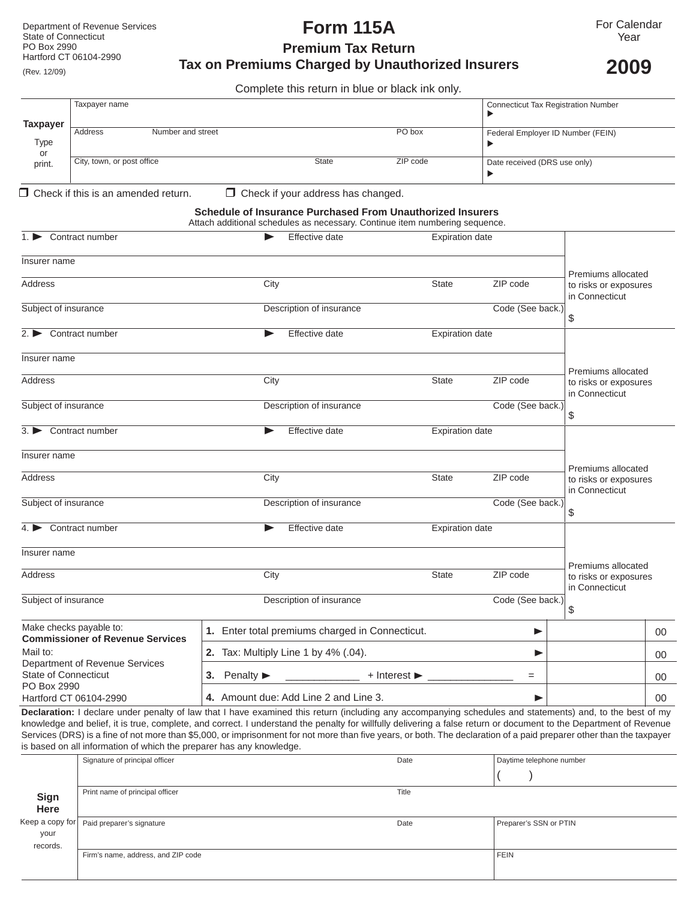# **Form 115A**

**Premium Tax Return Tax on Premiums Charged by Unauthorized Insurers** 

**2009**

Complete this return in blue or black ink only*.*

|                 | Taxpayer name                |  | <b>Connecticut Tax Registration Number</b> |          |                                   |  |
|-----------------|------------------------------|--|--------------------------------------------|----------|-----------------------------------|--|
| <b>Taxpayer</b> |                              |  |                                            |          |                                   |  |
|                 | Address<br>Number and street |  |                                            | PO box   | Federal Employer ID Number (FEIN) |  |
| Type            |                              |  |                                            |          |                                   |  |
| or              |                              |  |                                            |          |                                   |  |
| print.          | City, town, or post office   |  | <b>State</b>                               | ZIP code | Date received (DRS use only)      |  |
|                 |                              |  |                                            |          |                                   |  |

 $\Box$  Check if this is an amended return.  $\Box$  Check if your address has changed.

#### **Schedule of Insurance Purchased From Unauthorized Insurers**

Attach additional schedules as necessary. Continue item numbering sequence.

| Contract number                                                    | Effective date                                  |                                    | <b>Expiration date</b> |                                                               |        |
|--------------------------------------------------------------------|-------------------------------------------------|------------------------------------|------------------------|---------------------------------------------------------------|--------|
| Insurer name                                                       |                                                 |                                    |                        |                                                               |        |
| Address                                                            | City                                            | <b>State</b>                       | ZIP code               | Premiums allocated<br>to risks or exposures<br>in Connecticut |        |
| Subject of insurance                                               | Description of insurance                        |                                    | Code (See back.)       | \$                                                            |        |
| $2.$ Contract number                                               | Effective date<br>▶                             |                                    | <b>Expiration date</b> |                                                               |        |
| Insurer name                                                       |                                                 |                                    |                        |                                                               |        |
| Address                                                            | City                                            | <b>State</b>                       | ZIP code               | Premiums allocated<br>to risks or exposures<br>in Connecticut |        |
| Subject of insurance                                               | Description of insurance                        |                                    | Code (See back.)       | \$                                                            |        |
| 3. Contract number                                                 | Effective date<br>▶                             |                                    | <b>Expiration date</b> |                                                               |        |
| Insurer name                                                       |                                                 |                                    |                        |                                                               |        |
| <b>Address</b>                                                     | City                                            | <b>State</b>                       | ZIP code               | Premiums allocated<br>to risks or exposures<br>in Connecticut |        |
| Subject of insurance                                               | Description of insurance                        |                                    | Code (See back.)       | \$                                                            |        |
| $4.$ Contract number                                               | Effective date                                  |                                    | <b>Expiration date</b> |                                                               |        |
| Insurer name                                                       |                                                 |                                    |                        |                                                               |        |
| <b>Address</b>                                                     | City                                            | <b>State</b>                       | ZIP code               | Premiums allocated<br>to risks or exposures<br>in Connecticut |        |
| Subject of insurance                                               | Description of insurance                        |                                    | Code (See back.)       | \$                                                            |        |
| Make checks payable to:<br><b>Commissioner of Revenue Services</b> | 1. Enter total premiums charged in Connecticut. |                                    | ▶                      |                                                               | $00\,$ |
| Mail to:<br>Department of Revenue Services                         | 2. Tax: Multiply Line 1 by 4% (.04).            |                                    | ▶                      |                                                               | 00     |
| State of Connecticut<br>PO Box 2990                                | 3. Penalty $\blacktriangleright$                | $+$ Interest $\blacktriangleright$ | $=$                    |                                                               | 00     |
| Hartford CT 06104-2990                                             | 4. Amount due: Add Line 2 and Line 3.           |                                    | ▶                      |                                                               | 00     |

**Declaration:** I declare under penalty of law that I have examined this return (including any accompanying schedules and statements) and, to the best of my knowledge and belief, it is true, complete, and correct. I understand the penalty for willfully delivering a false return or document to the Department of Revenue Services (DRS) is a fine of not more than \$5,000, or imprisonment for not more than five years, or both. The declaration of a paid preparer other than the taxpayer is based on all information of which the preparer has any knowledge.

| $\tilde{\phantom{a}}$ |                                    |       |                          |  |  |  |
|-----------------------|------------------------------------|-------|--------------------------|--|--|--|
|                       | Signature of principal officer     | Date  | Daytime telephone number |  |  |  |
|                       |                                    |       |                          |  |  |  |
| <b>Sign</b>           | Print name of principal officer    | Title |                          |  |  |  |
| Here                  |                                    |       |                          |  |  |  |
| Keep a copy for       | Paid preparer's signature          | Date  | Preparer's SSN or PTIN   |  |  |  |
| your                  |                                    |       |                          |  |  |  |
| records.              |                                    |       |                          |  |  |  |
|                       | Firm's name, address, and ZIP code |       | <b>FEIN</b>              |  |  |  |
|                       |                                    |       |                          |  |  |  |
|                       |                                    |       |                          |  |  |  |